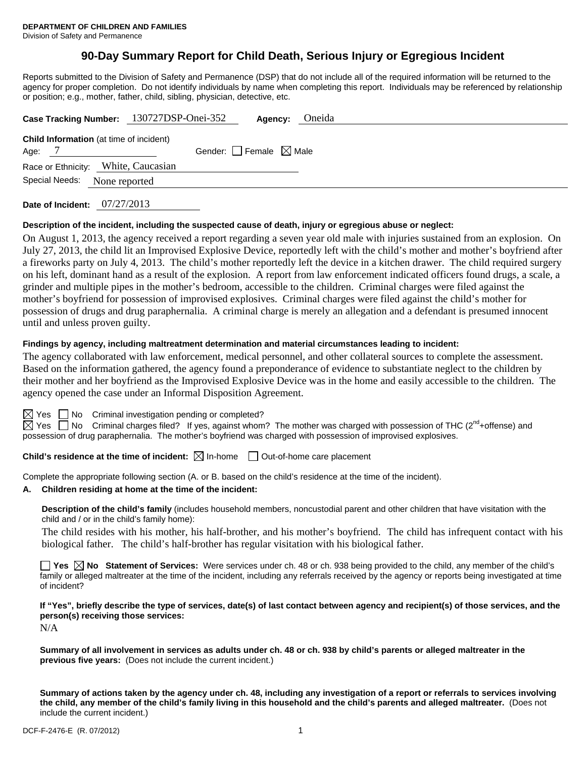# **90-Day Summary Report for Child Death, Serious Injury or Egregious Incident**

Reports submitted to the Division of Safety and Permanence (DSP) that do not include all of the required information will be returned to the agency for proper completion. Do not identify individuals by name when completing this report. Individuals may be referenced by relationship or position; e.g., mother, father, child, sibling, physician, detective, etc.

| Case Tracking Number: 130727DSP-Onei-352       | Oneida<br>Agency:               |  |  |  |
|------------------------------------------------|---------------------------------|--|--|--|
| <b>Child Information</b> (at time of incident) |                                 |  |  |  |
| Age: 7                                         | Gender: Female $\boxtimes$ Male |  |  |  |
| Race or Ethnicity: White, Caucasian            |                                 |  |  |  |
| Special Needs:<br>None reported                |                                 |  |  |  |
|                                                |                                 |  |  |  |

**Date of Incident:** 07/27/2013

#### **Description of the incident, including the suspected cause of death, injury or egregious abuse or neglect:**

On August 1, 2013, the agency received a report regarding a seven year old male with injuries sustained from an explosion. On July 27, 2013, the child lit an Improvised Explosive Device, reportedly left with the child's mother and mother's boyfriend after a fireworks party on July 4, 2013. The child's mother reportedly left the device in a kitchen drawer. The child required surgery on his left, dominant hand as a result of the explosion. A report from law enforcement indicated officers found drugs, a scale, a grinder and multiple pipes in the mother's bedroom, accessible to the children. Criminal charges were filed against the mother's boyfriend for possession of improvised explosives. Criminal charges were filed against the child's mother for possession of drugs and drug paraphernalia. A criminal charge is merely an allegation and a defendant is presumed innocent until and unless proven guilty.

#### **Findings by agency, including maltreatment determination and material circumstances leading to incident:**

The agency collaborated with law enforcement, medical personnel, and other collateral sources to complete the assessment. Based on the information gathered, the agency found a preponderance of evidence to substantiate neglect to the children by their mother and her boyfriend as the Improvised Explosive Device was in the home and easily accessible to the children. The agency opened the case under an Informal Disposition Agreement.

 $\boxtimes$  Yes  $\Box$  No Criminal investigation pending or completed?

 $\boxtimes$  Yes  $\Box$  No Criminal charges filed? If yes, against whom? The mother was charged with possession of THC (2<sup>nd</sup>+offense) and possession of drug paraphernalia. The mother's boyfriend was charged with possession of improvised explosives.

**Child's residence at the time of incident:**  $\boxtimes$  In-home  $\Box$  Out-of-home care placement

Complete the appropriate following section (A. or B. based on the child's residence at the time of the incident).

### **A. Children residing at home at the time of the incident:**

**Description of the child's family** (includes household members, noncustodial parent and other children that have visitation with the child and / or in the child's family home):

 The child resides with his mother, his half-brother, and his mother's boyfriend. The child has infrequent contact with his biological father. The child's half-brother has regular visitation with his biological father.

**Tes**  $\boxtimes$  **No** Statement of Services: Were services under ch. 48 or ch. 938 being provided to the child, any member of the child's family or alleged maltreater at the time of the incident, including any referrals received by the agency or reports being investigated at time of incident?

**If "Yes", briefly describe the type of services, date(s) of last contact between agency and recipient(s) of those services, and the person(s) receiving those services:** 

N/A

**Summary of all involvement in services as adults under ch. 48 or ch. 938 by child's parents or alleged maltreater in the previous five years:** (Does not include the current incident.)

**Summary of actions taken by the agency under ch. 48, including any investigation of a report or referrals to services involving the child, any member of the child's family living in this household and the child's parents and alleged maltreater.** (Does not include the current incident.)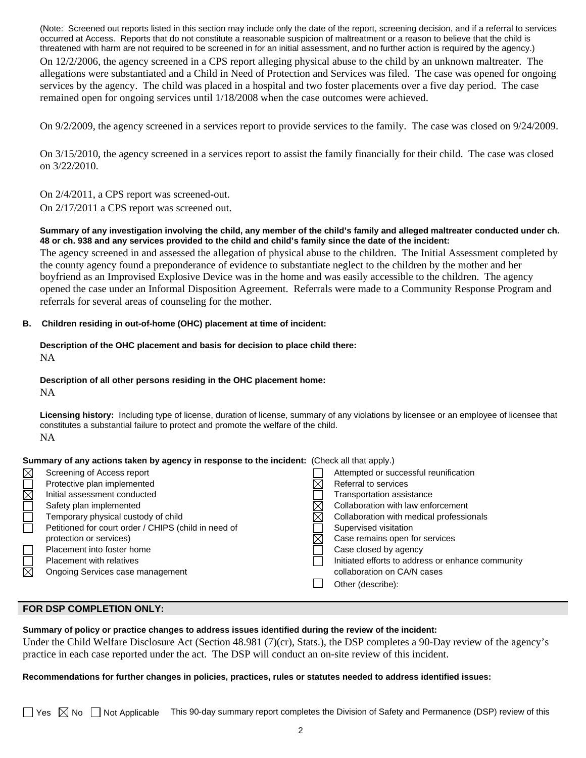(Note: Screened out reports listed in this section may include only the date of the report, screening decision, and if a referral to services occurred at Access. Reports that do not constitute a reasonable suspicion of maltreatment or a reason to believe that the child is threatened with harm are not required to be screened in for an initial assessment, and no further action is required by the agency.)

On 12/2/2006, the agency screened in a CPS report alleging physical abuse to the child by an unknown maltreater. The allegations were substantiated and a Child in Need of Protection and Services was filed. The case was opened for ongoing services by the agency. The child was placed in a hospital and two foster placements over a five day period. The case remained open for ongoing services until 1/18/2008 when the case outcomes were achieved.

On 9/2/2009, the agency screened in a services report to provide services to the family. The case was closed on 9/24/2009.

On 3/15/2010, the agency screened in a services report to assist the family financially for their child. The case was closed on 3/22/2010.

On 2/4/2011, a CPS report was screened-out.

On 2/17/2011 a CPS report was screened out.

### **Summary of any investigation involving the child, any member of the child's family and alleged maltreater conducted under ch. 48 or ch. 938 and any services provided to the child and child's family since the date of the incident:**

The agency screened in and assessed the allegation of physical abuse to the children. The Initial Assessment completed by the county agency found a preponderance of evidence to substantiate neglect to the children by the mother and her boyfriend as an Improvised Explosive Device was in the home and was easily accessible to the children. The agency opened the case under an Informal Disposition Agreement. Referrals were made to a Community Response Program and referrals for several areas of counseling for the mother.

## **B. Children residing in out-of-home (OHC) placement at time of incident:**

|                      | Description of the OHC placement and basis for decision to place child there: |  |
|----------------------|-------------------------------------------------------------------------------|--|
| $\sim$ $\sim$ $\sim$ |                                                                               |  |

NA

# **Description of all other persons residing in the OHC placement home:**

NA

**Licensing history:** Including type of license, duration of license, summary of any violations by licensee or an employee of licensee that constitutes a substantial failure to protect and promote the welfare of the child. NA

| Summary of any actions taken by agency in response to the incident: (Check all that apply.) |                                                      |  |                                                   |
|---------------------------------------------------------------------------------------------|------------------------------------------------------|--|---------------------------------------------------|
| $\boxtimes$                                                                                 | Screening of Access report                           |  | Attempted or successful reunification             |
| <b>NALLER</b>                                                                               | Protective plan implemented                          |  | Referral to services                              |
|                                                                                             | Initial assessment conducted                         |  | <b>Transportation assistance</b>                  |
|                                                                                             | Safety plan implemented                              |  | Collaboration with law enforcement                |
|                                                                                             | Temporary physical custody of child                  |  | Collaboration with medical professionals          |
|                                                                                             | Petitioned for court order / CHIPS (child in need of |  | Supervised visitation                             |
|                                                                                             | protection or services)                              |  | Case remains open for services                    |
|                                                                                             | Placement into foster home                           |  | Case closed by agency                             |
| $\overline{\Xi}$                                                                            | Placement with relatives                             |  | Initiated efforts to address or enhance community |
|                                                                                             | Ongoing Services case management                     |  | collaboration on CA/N cases                       |
|                                                                                             |                                                      |  | Other (describe):                                 |

### **FOR DSP COMPLETION ONLY:**

**Summary of policy or practice changes to address issues identified during the review of the incident:** 

Under the Child Welfare Disclosure Act (Section 48.981 (7)(cr), Stats.), the DSP completes a 90-Day review of the agency's practice in each case reported under the act. The DSP will conduct an on-site review of this incident.

### **Recommendations for further changes in policies, practices, rules or statutes needed to address identified issues:**

 $\Box$  Yes  $\boxtimes$  No  $\Box$  Not Applicable This 90-day summary report completes the Division of Safety and Permanence (DSP) review of this